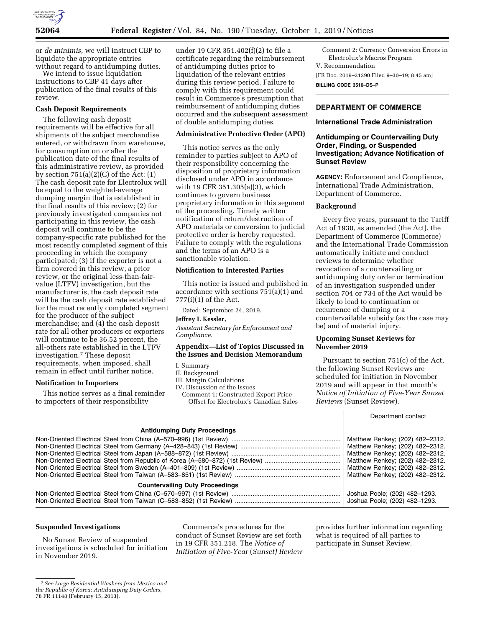

or *de minimis,* we will instruct CBP to liquidate the appropriate entries without regard to antidumping duties.

We intend to issue liquidation instructions to CBP 41 days after publication of the final results of this review.

## **Cash Deposit Requirements**

The following cash deposit requirements will be effective for all shipments of the subject merchandise entered, or withdrawn from warehouse, for consumption on or after the publication date of the final results of this administrative review, as provided by section  $751(a)(2)(C)$  of the Act: (1) The cash deposit rate for Electrolux will be equal to the weighted-average dumping margin that is established in the final results of this review; (2) for previously investigated companies not participating in this review, the cash deposit will continue to be the company-specific rate published for the most recently completed segment of this proceeding in which the company participated; (3) if the exporter is not a firm covered in this review, a prior review, or the original less-than-fairvalue (LTFV) investigation, but the manufacturer is, the cash deposit rate will be the cash deposit rate established for the most recently completed segment for the producer of the subject merchandise; and (4) the cash deposit rate for all other producers or exporters will continue to be 36.52 percent, the all-others rate established in the LTFV investigation.7 These deposit requirements, when imposed, shall remain in effect until further notice.

### **Notification to Importers**

This notice serves as a final reminder to importers of their responsibility

under 19 CFR 351.402(f)(2) to file a certificate regarding the reimbursement of antidumping duties prior to liquidation of the relevant entries during this review period. Failure to comply with this requirement could result in Commerce's presumption that reimbursement of antidumping duties occurred and the subsequent assessment of double antidumping duties.

## **Administrative Protective Order (APO)**

This notice serves as the only reminder to parties subject to APO of their responsibility concerning the disposition of proprietary information disclosed under APO in accordance with 19 CFR 351.305(a)(3), which continues to govern business proprietary information in this segment of the proceeding. Timely written notification of return/destruction of APO materials or conversion to judicial protective order is hereby requested. Failure to comply with the regulations and the terms of an APO is a sanctionable violation.

# **Notification to Interested Parties**

This notice is issued and published in accordance with sections 751(a)(1) and 777(i)(1) of the Act.

Dated: September 24, 2019.

# **Jeffrey I. Kessler,**

*Assistant Secretary for Enforcement and Compliance.* 

## **Appendix—List of Topics Discussed in the Issues and Decision Memorandum**

- III. Margin Calculations
- IV. Discussion of the Issues Comment 1: Constructed Export Price Offset for Electrolux's Canadian Sales

Comment 2: Currency Conversion Errors in Electrolux's Macros Program V. Recommendation

[FR Doc. 2019–21290 Filed 9–30–19; 8:45 am]

**BILLING CODE 3510–DS–P** 

# **DEPARTMENT OF COMMERCE**

### **International Trade Administration**

# **Antidumping or Countervailing Duty Order, Finding, or Suspended Investigation; Advance Notification of Sunset Review**

**AGENCY:** Enforcement and Compliance, International Trade Administration, Department of Commerce.

#### **Background**

Every five years, pursuant to the Tariff Act of 1930, as amended (the Act), the Department of Commerce (Commerce) and the International Trade Commission automatically initiate and conduct reviews to determine whether revocation of a countervailing or antidumping duty order or termination of an investigation suspended under section 704 or 734 of the Act would be likely to lead to continuation or recurrence of dumping or a countervailable subsidy (as the case may be) and of material injury.

# **Upcoming Sunset Reviews for November 2019**

Pursuant to section 751(c) of the Act, the following Sunset Reviews are scheduled for initiation in November 2019 and will appear in that month's *Notice of Initiation of Five-Year Sunset Reviews* (Sunset Review).

Department contact

| <b>Antidumping Duty Proceedings</b>    |                                                                    |
|----------------------------------------|--------------------------------------------------------------------|
|                                        | Matthew Renkey; (202) 482-2312.<br>Matthew Renkey; (202) 482-2312. |
|                                        | Matthew Renkey; (202) 482-2312.                                    |
|                                        | Matthew Renkey; (202) 482-2312.<br>Matthew Renkey; (202) 482-2312. |
|                                        | Matthew Renkey; (202) 482-2312.                                    |
| <b>Countervailing Duty Proceedings</b> |                                                                    |
|                                        | Joshua Poole; (202) 482-1293.<br>Joshua Poole; (202) 482-1293.     |

## **Suspended Investigations**

No Sunset Review of suspended investigations is scheduled for initiation in November 2019.

Commerce's procedures for the conduct of Sunset Review are set forth in 19 CFR 351.218. The *Notice of Initiation of Five-Year* (*Sunset) Review* 

provides further information regarding what is required of all parties to participate in Sunset Review.

I. Summary

II. Background

<sup>7</sup>*See Large Residential Washers from Mexico and the Republic of Korea: Antidumping Duty Orders,* 

<sup>78</sup> FR 11148 (February 15, 2013).